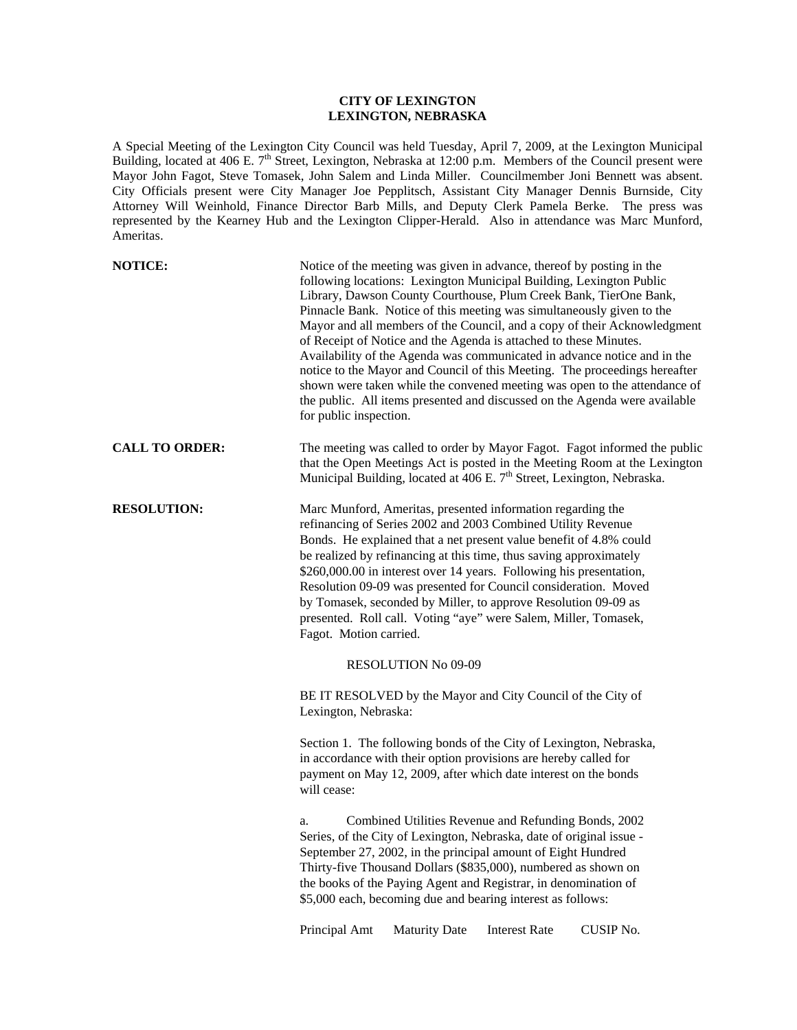## **CITY OF LEXINGTON LEXINGTON, NEBRASKA**

A Special Meeting of the Lexington City Council was held Tuesday, April 7, 2009, at the Lexington Municipal Building, located at 406 E. 7<sup>th</sup> Street, Lexington, Nebraska at 12:00 p.m. Members of the Council present were Mayor John Fagot, Steve Tomasek, John Salem and Linda Miller. Councilmember Joni Bennett was absent. City Officials present were City Manager Joe Pepplitsch, Assistant City Manager Dennis Burnside, City Attorney Will Weinhold, Finance Director Barb Mills, and Deputy Clerk Pamela Berke. The press was represented by the Kearney Hub and the Lexington Clipper-Herald. Also in attendance was Marc Munford, Ameritas.

| <b>NOTICE:</b>        | Notice of the meeting was given in advance, thereof by posting in the<br>following locations: Lexington Municipal Building, Lexington Public<br>Library, Dawson County Courthouse, Plum Creek Bank, TierOne Bank,<br>Pinnacle Bank. Notice of this meeting was simultaneously given to the<br>Mayor and all members of the Council, and a copy of their Acknowledgment<br>of Receipt of Notice and the Agenda is attached to these Minutes.<br>Availability of the Agenda was communicated in advance notice and in the<br>notice to the Mayor and Council of this Meeting. The proceedings hereafter<br>shown were taken while the convened meeting was open to the attendance of<br>the public. All items presented and discussed on the Agenda were available<br>for public inspection. |  |  |  |
|-----------------------|--------------------------------------------------------------------------------------------------------------------------------------------------------------------------------------------------------------------------------------------------------------------------------------------------------------------------------------------------------------------------------------------------------------------------------------------------------------------------------------------------------------------------------------------------------------------------------------------------------------------------------------------------------------------------------------------------------------------------------------------------------------------------------------------|--|--|--|
| <b>CALL TO ORDER:</b> | The meeting was called to order by Mayor Fagot. Fagot informed the public<br>that the Open Meetings Act is posted in the Meeting Room at the Lexington<br>Municipal Building, located at 406 E. 7 <sup>th</sup> Street, Lexington, Nebraska.                                                                                                                                                                                                                                                                                                                                                                                                                                                                                                                                               |  |  |  |
| <b>RESOLUTION:</b>    | Marc Munford, Ameritas, presented information regarding the<br>refinancing of Series 2002 and 2003 Combined Utility Revenue<br>Bonds. He explained that a net present value benefit of 4.8% could<br>be realized by refinancing at this time, thus saving approximately<br>\$260,000.00 in interest over 14 years. Following his presentation,<br>Resolution 09-09 was presented for Council consideration. Moved<br>by Tomasek, seconded by Miller, to approve Resolution 09-09 as<br>presented. Roll call. Voting "aye" were Salem, Miller, Tomasek,<br>Fagot. Motion carried.                                                                                                                                                                                                           |  |  |  |
|                       | <b>RESOLUTION No 09-09</b>                                                                                                                                                                                                                                                                                                                                                                                                                                                                                                                                                                                                                                                                                                                                                                 |  |  |  |
|                       | BE IT RESOLVED by the Mayor and City Council of the City of<br>Lexington, Nebraska:                                                                                                                                                                                                                                                                                                                                                                                                                                                                                                                                                                                                                                                                                                        |  |  |  |
|                       | Section 1. The following bonds of the City of Lexington, Nebraska,<br>in accordance with their option provisions are hereby called for<br>payment on May 12, 2009, after which date interest on the bonds<br>will cease:                                                                                                                                                                                                                                                                                                                                                                                                                                                                                                                                                                   |  |  |  |
|                       | Combined Utilities Revenue and Refunding Bonds, 2002<br>a.<br>Series, of the City of Lexington, Nebraska, date of original issue -<br>September 27, 2002, in the principal amount of Eight Hundred<br>Thirty-five Thousand Dollars (\$835,000), numbered as shown on<br>the books of the Paying Agent and Registrar, in denomination of<br>\$5,000 each, becoming due and bearing interest as follows:                                                                                                                                                                                                                                                                                                                                                                                     |  |  |  |
|                       | CUSIP No.<br>Principal Amt<br><b>Maturity Date</b><br><b>Interest Rate</b>                                                                                                                                                                                                                                                                                                                                                                                                                                                                                                                                                                                                                                                                                                                 |  |  |  |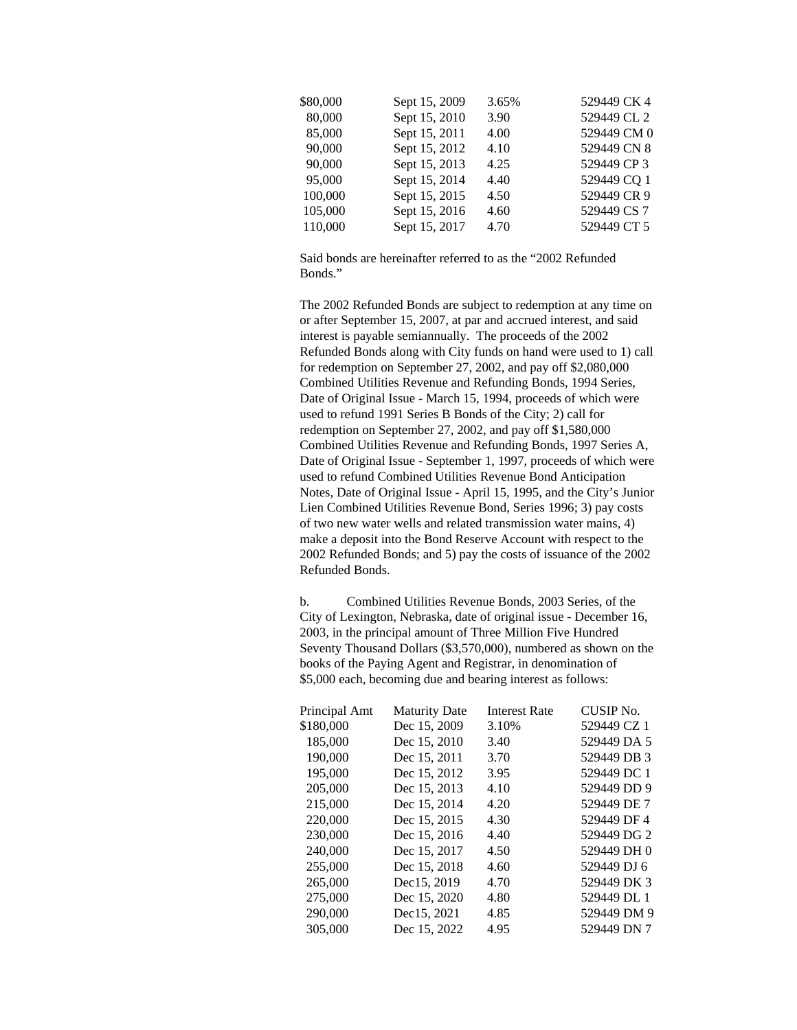| \$80,000 | Sept 15, 2009 | 3.65% | 529449 CK 4 |
|----------|---------------|-------|-------------|
| 80,000   | Sept 15, 2010 | 3.90  | 529449 CL 2 |
| 85,000   | Sept 15, 2011 | 4.00  | 529449 CM 0 |
| 90,000   | Sept 15, 2012 | 4.10  | 529449 CN 8 |
| 90,000   | Sept 15, 2013 | 4.25  | 529449 CP 3 |
| 95,000   | Sept 15, 2014 | 4.40  | 529449 CQ 1 |
| 100,000  | Sept 15, 2015 | 4.50  | 529449 CR 9 |
| 105,000  | Sept 15, 2016 | 4.60  | 529449 CS 7 |
| 110,000  | Sept 15, 2017 | 4.70  | 529449 CT 5 |

Said bonds are hereinafter referred to as the "2002 Refunded Bonds."

The 2002 Refunded Bonds are subject to redemption at any time on or after September 15, 2007, at par and accrued interest, and said interest is payable semiannually. The proceeds of the 2002 Refunded Bonds along with City funds on hand were used to 1) call for redemption on September 27, 2002, and pay off \$2,080,000 Combined Utilities Revenue and Refunding Bonds, 1994 Series, Date of Original Issue - March 15, 1994, proceeds of which were used to refund 1991 Series B Bonds of the City; 2) call for redemption on September 27, 2002, and pay off \$1,580,000 Combined Utilities Revenue and Refunding Bonds, 1997 Series A, Date of Original Issue - September 1, 1997, proceeds of which were used to refund Combined Utilities Revenue Bond Anticipation Notes, Date of Original Issue - April 15, 1995, and the City's Junior Lien Combined Utilities Revenue Bond, Series 1996; 3) pay costs of two new water wells and related transmission water mains, 4) make a deposit into the Bond Reserve Account with respect to the 2002 Refunded Bonds; and 5) pay the costs of issuance of the 2002 Refunded Bonds.

b. Combined Utilities Revenue Bonds, 2003 Series, of the City of Lexington, Nebraska, date of original issue - December 16, 2003, in the principal amount of Three Million Five Hundred Seventy Thousand Dollars (\$3,570,000), numbered as shown on the books of the Paying Agent and Registrar, in denomination of \$5,000 each, becoming due and bearing interest as follows:

| Principal Amt | <b>Maturity Date</b> | <b>Interest Rate</b> | CUSIP No.   |
|---------------|----------------------|----------------------|-------------|
| \$180,000     | Dec 15, 2009         | 3.10%                | 529449 CZ 1 |
| 185,000       | Dec 15, 2010         | 3.40                 | 529449 DA 5 |
| 190,000       | Dec 15, 2011         | 3.70                 | 529449 DB 3 |
| 195,000       | Dec 15, 2012         | 3.95                 | 529449 DC 1 |
| 205,000       | Dec 15, 2013         | 4.10                 | 529449 DD 9 |
| 215,000       | Dec 15, 2014         | 4.20                 | 529449 DE 7 |
| 220,000       | Dec 15, 2015         | 4.30                 | 529449 DF 4 |
| 230,000       | Dec 15, 2016         | 4.40                 | 529449 DG 2 |
| 240,000       | Dec 15, 2017         | 4.50                 | 529449 DH 0 |
| 255,000       | Dec 15, 2018         | 4.60                 | 529449 DJ 6 |
| 265,000       | Dec15, 2019          | 4.70                 | 529449 DK 3 |
| 275,000       | Dec 15, 2020         | 4.80                 | 529449 DL 1 |
| 290,000       | Dec15, 2021          | 4.85                 | 529449 DM 9 |
| 305,000       | Dec 15, 2022         | 4.95                 | 529449 DN 7 |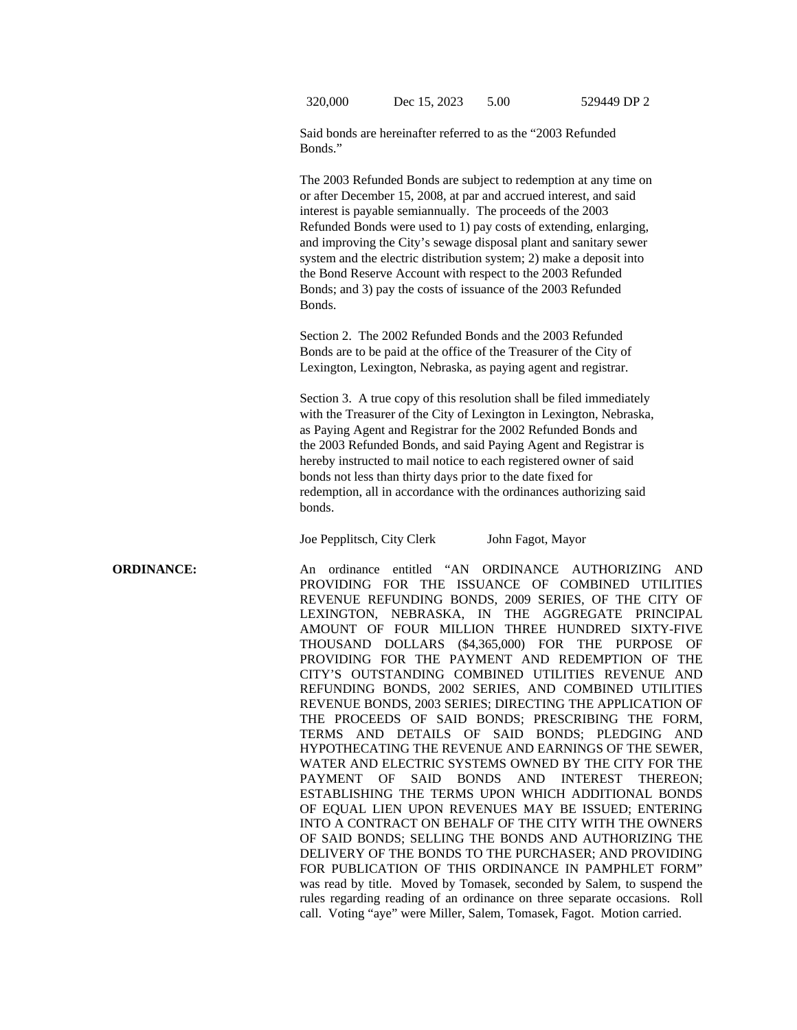320,000 Dec 15, 2023 5.00 529449 DP 2

Said bonds are hereinafter referred to as the "2003 Refunded Bonds."

The 2003 Refunded Bonds are subject to redemption at any time on or after December 15, 2008, at par and accrued interest, and said interest is payable semiannually. The proceeds of the 2003 Refunded Bonds were used to 1) pay costs of extending, enlarging, and improving the City's sewage disposal plant and sanitary sewer system and the electric distribution system; 2) make a deposit into the Bond Reserve Account with respect to the 2003 Refunded Bonds; and 3) pay the costs of issuance of the 2003 Refunded Bonds.

Section 2. The 2002 Refunded Bonds and the 2003 Refunded Bonds are to be paid at the office of the Treasurer of the City of Lexington, Lexington, Nebraska, as paying agent and registrar.

Section 3. A true copy of this resolution shall be filed immediately with the Treasurer of the City of Lexington in Lexington, Nebraska, as Paying Agent and Registrar for the 2002 Refunded Bonds and the 2003 Refunded Bonds, and said Paying Agent and Registrar is hereby instructed to mail notice to each registered owner of said bonds not less than thirty days prior to the date fixed for redemption, all in accordance with the ordinances authorizing said bonds.

Joe Pepplitsch, City Clerk John Fagot, Mayor

**ORDINANCE:** An ordinance entitled "AN ORDINANCE AUTHORIZING AND PROVIDING FOR THE ISSUANCE OF COMBINED UTILITIES REVENUE REFUNDING BONDS, 2009 SERIES, OF THE CITY OF LEXINGTON, NEBRASKA, IN THE AGGREGATE PRINCIPAL AMOUNT OF FOUR MILLION THREE HUNDRED SIXTY-FIVE THOUSAND DOLLARS (\$4,365,000) FOR THE PURPOSE OF PROVIDING FOR THE PAYMENT AND REDEMPTION OF THE CITY'S OUTSTANDING COMBINED UTILITIES REVENUE AND REFUNDING BONDS, 2002 SERIES, AND COMBINED UTILITIES REVENUE BONDS, 2003 SERIES; DIRECTING THE APPLICATION OF THE PROCEEDS OF SAID BONDS; PRESCRIBING THE FORM, TERMS AND DETAILS OF SAID BONDS; PLEDGING AND HYPOTHECATING THE REVENUE AND EARNINGS OF THE SEWER, WATER AND ELECTRIC SYSTEMS OWNED BY THE CITY FOR THE PAYMENT OF SAID BONDS AND INTEREST THEREON; ESTABLISHING THE TERMS UPON WHICH ADDITIONAL BONDS OF EQUAL LIEN UPON REVENUES MAY BE ISSUED; ENTERING INTO A CONTRACT ON BEHALF OF THE CITY WITH THE OWNERS OF SAID BONDS; SELLING THE BONDS AND AUTHORIZING THE DELIVERY OF THE BONDS TO THE PURCHASER; AND PROVIDING FOR PUBLICATION OF THIS ORDINANCE IN PAMPHLET FORM" was read by title. Moved by Tomasek, seconded by Salem, to suspend the rules regarding reading of an ordinance on three separate occasions. Roll call. Voting "aye" were Miller, Salem, Tomasek, Fagot. Motion carried.